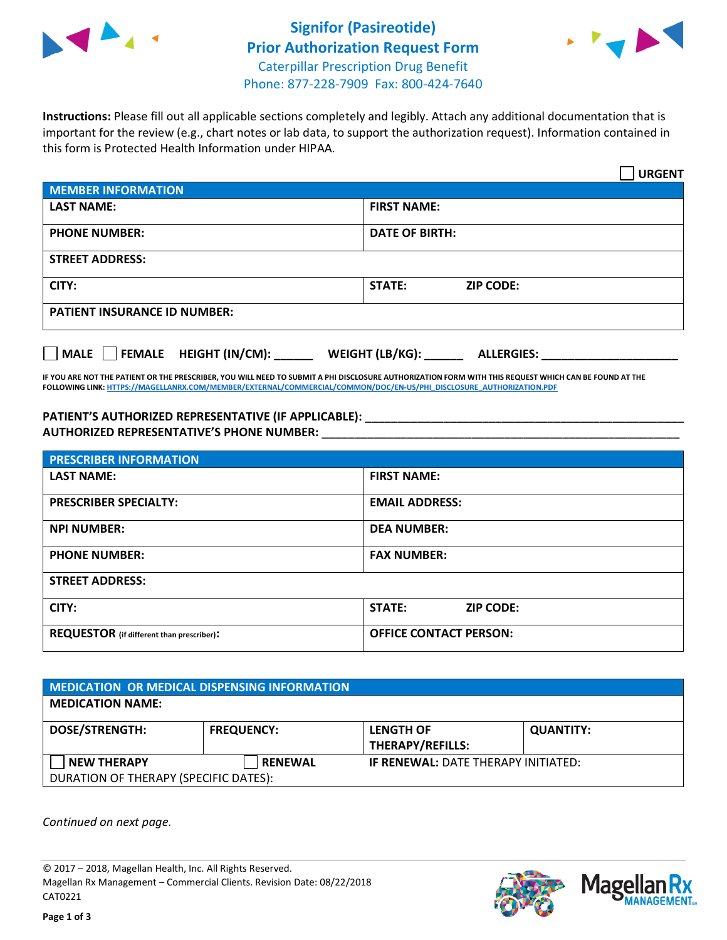



**Instructions:** Please fill out all applicable sections completely and legibly. Attach any additional documentation that is important for the review (e.g., chart notes or lab data, to support the authorization request). Information contained in this form is Protected Health Information under HIPAA.

|                                     |                                      | <b>URGENT</b> |  |  |
|-------------------------------------|--------------------------------------|---------------|--|--|
| <b>MEMBER INFORMATION</b>           |                                      |               |  |  |
| <b>LAST NAME:</b>                   | <b>FIRST NAME:</b>                   |               |  |  |
| <b>PHONE NUMBER:</b>                | <b>DATE OF BIRTH:</b>                |               |  |  |
| <b>STREET ADDRESS:</b>              |                                      |               |  |  |
| CITY:                               | <b>STATE:</b><br><b>ZIP CODE:</b>    |               |  |  |
| <b>PATIENT INSURANCE ID NUMBER:</b> |                                      |               |  |  |
| FEMALE HEIGHT (IN/CM):<br>MALE      | WEIGHT (LB/KG):<br><b>ALLERGIES:</b> |               |  |  |

**IF YOU ARE NOT THE PATIENT OR THE PRESCRIBER, YOU WILL NEED TO SUBMIT A PHI DISCLOSURE AUTHORIZATION FORM WITH THIS REQUEST WHICH CAN BE FOUND AT THE FOLLOWING LINK[: HTTPS://MAGELLANRX.COM/MEMBER/EXTERNAL/COMMERCIAL/COMMON/DOC/EN-US/PHI\\_DISCLOSURE\\_AUTHORIZATION.PDF](https://magellanrx.com/member/external/commercial/common/doc/en-us/PHI_Disclosure_Authorization.pdf)**

**PATIENT'S AUTHORIZED REPRESENTATIVE (IF APPLICABLE): \_\_\_\_\_\_\_\_\_\_\_\_\_\_\_\_\_\_\_\_\_\_\_\_\_\_\_\_\_\_\_\_\_\_\_\_\_\_\_\_\_\_\_\_\_\_\_\_\_ AUTHORIZED REPRESENTATIVE'S PHONE NUMBER:** \_\_\_\_\_\_\_\_\_\_\_\_\_\_\_\_\_\_\_\_\_\_\_\_\_\_\_\_\_\_\_\_\_\_\_\_\_\_\_\_\_\_\_\_\_\_\_\_\_\_\_\_\_\_\_

| <b>PRESCRIBER INFORMATION</b>             |                               |  |  |  |
|-------------------------------------------|-------------------------------|--|--|--|
| <b>LAST NAME:</b>                         | <b>FIRST NAME:</b>            |  |  |  |
| <b>PRESCRIBER SPECIALTY:</b>              | <b>EMAIL ADDRESS:</b>         |  |  |  |
| <b>NPI NUMBER:</b>                        | <b>DEA NUMBER:</b>            |  |  |  |
| <b>PHONE NUMBER:</b>                      | <b>FAX NUMBER:</b>            |  |  |  |
| <b>STREET ADDRESS:</b>                    |                               |  |  |  |
| CITY:                                     | STATE:<br><b>ZIP CODE:</b>    |  |  |  |
| REQUESTOR (if different than prescriber): | <b>OFFICE CONTACT PERSON:</b> |  |  |  |

| <b>MEDICATION OR MEDICAL DISPENSING INFORMATION</b> |                   |                                            |                  |  |  |
|-----------------------------------------------------|-------------------|--------------------------------------------|------------------|--|--|
| <b>MEDICATION NAME:</b>                             |                   |                                            |                  |  |  |
| <b>DOSE/STRENGTH:</b>                               | <b>FREQUENCY:</b> | <b>LENGTH OF</b>                           | <b>QUANTITY:</b> |  |  |
|                                                     |                   | <b>THERAPY/REFILLS:</b>                    |                  |  |  |
| <b>NEW THERAPY</b>                                  | <b>RENEWAL</b>    | <b>IF RENEWAL: DATE THERAPY INITIATED:</b> |                  |  |  |
| DURATION OF THERAPY (SPECIFIC DATES):               |                   |                                            |                  |  |  |

*Continued on next page.*

© 2017 – 2018, Magellan Health, Inc. All Rights Reserved. Magellan Rx Management – Commercial Clients. Revision Date: 08/22/2018 CAT0221



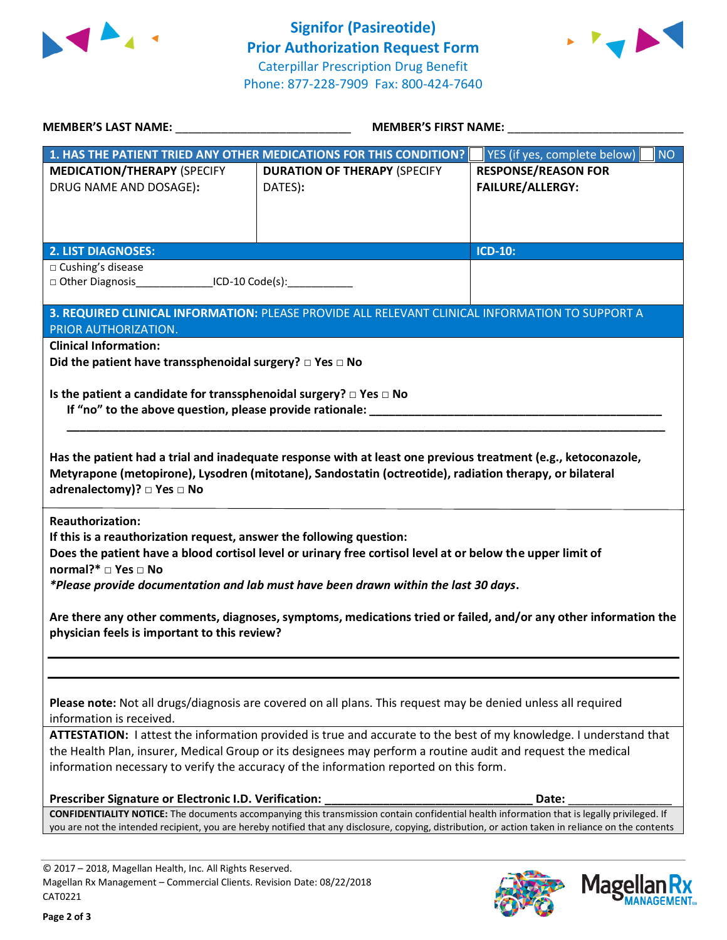



| MEMBER'S LAST NAME: __________________________________                                                                                                                                                                             | MEMBER'S FIRST NAME:                                                                                                                                |                                           |  |  |
|------------------------------------------------------------------------------------------------------------------------------------------------------------------------------------------------------------------------------------|-----------------------------------------------------------------------------------------------------------------------------------------------------|-------------------------------------------|--|--|
|                                                                                                                                                                                                                                    | 1. HAS THE PATIENT TRIED ANY OTHER MEDICATIONS FOR THIS CONDITION?                                                                                  | YES (if yes, complete below)<br><b>NO</b> |  |  |
| <b>MEDICATION/THERAPY (SPECIFY</b>                                                                                                                                                                                                 | <b>DURATION OF THERAPY (SPECIFY</b>                                                                                                                 | <b>RESPONSE/REASON FOR</b>                |  |  |
| DRUG NAME AND DOSAGE):                                                                                                                                                                                                             | DATES):                                                                                                                                             | <b>FAILURE/ALLERGY:</b>                   |  |  |
|                                                                                                                                                                                                                                    |                                                                                                                                                     |                                           |  |  |
|                                                                                                                                                                                                                                    |                                                                                                                                                     |                                           |  |  |
|                                                                                                                                                                                                                                    |                                                                                                                                                     |                                           |  |  |
| <b>2. LIST DIAGNOSES:</b><br>□ Cushing's disease                                                                                                                                                                                   |                                                                                                                                                     | <b>ICD-10:</b>                            |  |  |
| □ Other Diagnosis__________________ICD-10 Code(s):______________                                                                                                                                                                   |                                                                                                                                                     |                                           |  |  |
|                                                                                                                                                                                                                                    |                                                                                                                                                     |                                           |  |  |
|                                                                                                                                                                                                                                    | 3. REQUIRED CLINICAL INFORMATION: PLEASE PROVIDE ALL RELEVANT CLINICAL INFORMATION TO SUPPORT A                                                     |                                           |  |  |
| PRIOR AUTHORIZATION.                                                                                                                                                                                                               |                                                                                                                                                     |                                           |  |  |
| <b>Clinical Information:</b>                                                                                                                                                                                                       |                                                                                                                                                     |                                           |  |  |
| Did the patient have transsphenoidal surgery? $\Box$ Yes $\Box$ No                                                                                                                                                                 |                                                                                                                                                     |                                           |  |  |
|                                                                                                                                                                                                                                    |                                                                                                                                                     |                                           |  |  |
| Is the patient a candidate for transsphenoidal surgery? $\Box$ Yes $\Box$ No                                                                                                                                                       |                                                                                                                                                     |                                           |  |  |
|                                                                                                                                                                                                                                    |                                                                                                                                                     |                                           |  |  |
|                                                                                                                                                                                                                                    |                                                                                                                                                     |                                           |  |  |
|                                                                                                                                                                                                                                    |                                                                                                                                                     |                                           |  |  |
|                                                                                                                                                                                                                                    | Has the patient had a trial and inadequate response with at least one previous treatment (e.g., ketoconazole,                                       |                                           |  |  |
|                                                                                                                                                                                                                                    | Metyrapone (metopirone), Lysodren (mitotane), Sandostatin (octreotide), radiation therapy, or bilateral                                             |                                           |  |  |
| adrenalectomy)? □ Yes □ No                                                                                                                                                                                                         |                                                                                                                                                     |                                           |  |  |
| <b>Reauthorization:</b>                                                                                                                                                                                                            |                                                                                                                                                     |                                           |  |  |
| If this is a reauthorization request, answer the following question:                                                                                                                                                               |                                                                                                                                                     |                                           |  |  |
|                                                                                                                                                                                                                                    | Does the patient have a blood cortisol level or urinary free cortisol level at or below the upper limit of                                          |                                           |  |  |
| normal?* □ Yes □ No                                                                                                                                                                                                                |                                                                                                                                                     |                                           |  |  |
|                                                                                                                                                                                                                                    | *Please provide documentation and lab must have been drawn within the last 30 days.                                                                 |                                           |  |  |
|                                                                                                                                                                                                                                    |                                                                                                                                                     |                                           |  |  |
|                                                                                                                                                                                                                                    | Are there any other comments, diagnoses, symptoms, medications tried or failed, and/or any other information the                                    |                                           |  |  |
| physician feels is important to this review?                                                                                                                                                                                       |                                                                                                                                                     |                                           |  |  |
|                                                                                                                                                                                                                                    |                                                                                                                                                     |                                           |  |  |
|                                                                                                                                                                                                                                    |                                                                                                                                                     |                                           |  |  |
|                                                                                                                                                                                                                                    |                                                                                                                                                     |                                           |  |  |
|                                                                                                                                                                                                                                    |                                                                                                                                                     |                                           |  |  |
| Please note: Not all drugs/diagnosis are covered on all plans. This request may be denied unless all required<br>information is received.                                                                                          |                                                                                                                                                     |                                           |  |  |
|                                                                                                                                                                                                                                    |                                                                                                                                                     |                                           |  |  |
| ATTESTATION: I attest the information provided is true and accurate to the best of my knowledge. I understand that<br>the Health Plan, insurer, Medical Group or its designees may perform a routine audit and request the medical |                                                                                                                                                     |                                           |  |  |
| information necessary to verify the accuracy of the information reported on this form.                                                                                                                                             |                                                                                                                                                     |                                           |  |  |
|                                                                                                                                                                                                                                    |                                                                                                                                                     |                                           |  |  |
| Prescriber Signature or Electronic I.D. Verification:                                                                                                                                                                              |                                                                                                                                                     | Date:                                     |  |  |
| CONFIDENTIALITY NOTICE: The documents accompanying this transmission contain confidential health information that is legally privileged. If                                                                                        |                                                                                                                                                     |                                           |  |  |
|                                                                                                                                                                                                                                    | you are not the intended recipient, you are hereby notified that any disclosure, copying, distribution, or action taken in reliance on the contents |                                           |  |  |
|                                                                                                                                                                                                                                    |                                                                                                                                                     |                                           |  |  |

© 2017 – 2018, Magellan Health, Inc. All Rights Reserved. Magellan Rx Management – Commercial Clients. Revision Date: 08/22/2018 CAT0221